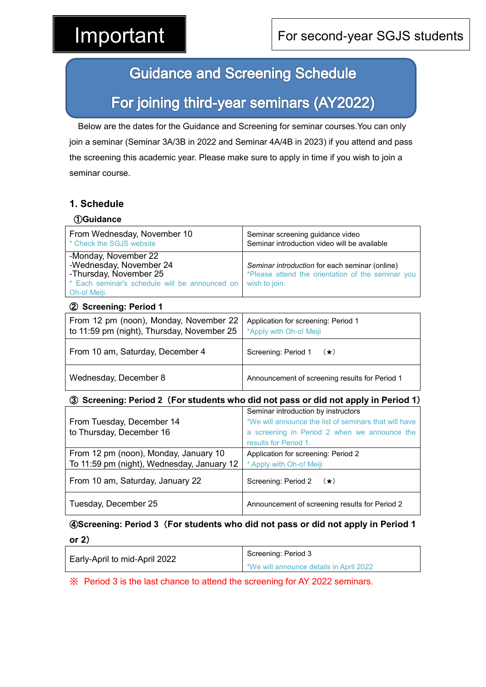## **Guidance and Screening Schedule**

# For joining third-year seminars (AY2022)

Below are the dates for the Guidance and Screening for seminar courses.You can only join a seminar (Seminar 3A/3B in 2022 and Seminar 4A/4B in 2023) if you attend and pass the screening this academic year. Please make sure to apply in time if you wish to join a seminar course.

### **1. Schedule**

| <b>10Guidance</b>                                                                                                                           |                                                                                                                      |
|---------------------------------------------------------------------------------------------------------------------------------------------|----------------------------------------------------------------------------------------------------------------------|
| From Wednesday, November 10<br>* Check the SGJS website                                                                                     | Seminar screening guidance video<br>Seminar introduction video will be available                                     |
| -Monday, November 22<br>-Wednesday, November 24<br>-Thursday, November 25<br>* Each seminar's schedule will be announced on<br>Oh-o! Meiji. | Seminar introduction for each seminar (online)<br>*Please attend the orientation of the seminar you<br>wish to join. |

#### ② **Screening: Period 1**

| From 12 pm (noon), Monday, November 22<br>to 11:59 pm (night), Thursday, November 25 $\mid$ *Apply with Oh-o! Meiji | Application for screening: Period 1            |
|---------------------------------------------------------------------------------------------------------------------|------------------------------------------------|
| From 10 am, Saturday, December 4                                                                                    | Screening: Period 1 $(\star)$                  |
| Wednesday, December 8                                                                                               | Announcement of screening results for Period 1 |

#### ③ **Screening: Period 2**(**For students who did not pass or did not apply in Period 1**)

|                                            | Seminar introduction by instructors                   |
|--------------------------------------------|-------------------------------------------------------|
| From Tuesday, December 14                  | *We will announce the list of seminars that will have |
| to Thursday, December 16                   | a screening in Period 2 when we announce the          |
|                                            | results for Period 1.                                 |
| From 12 pm (noon), Monday, January 10      | Application for screening: Period 2                   |
| To 11:59 pm (night), Wednesday, January 12 | * Apply with Oh-o! Meiji                              |
| From 10 am, Saturday, January 22           | Screening: Period 2 $(\star)$                         |
| Tuesday, December 25                       | Announcement of screening results for Period 2        |

#### ④**Screening: Period 3**(**For students who did not pass or did not apply in Period 1**

| Early-April to mid-April 2022 | Screening: Period 3                     |
|-------------------------------|-----------------------------------------|
|                               | *We will announce details in April 2022 |

※ Period 3 is the last chance to attend the screening for AY 2022 seminars.